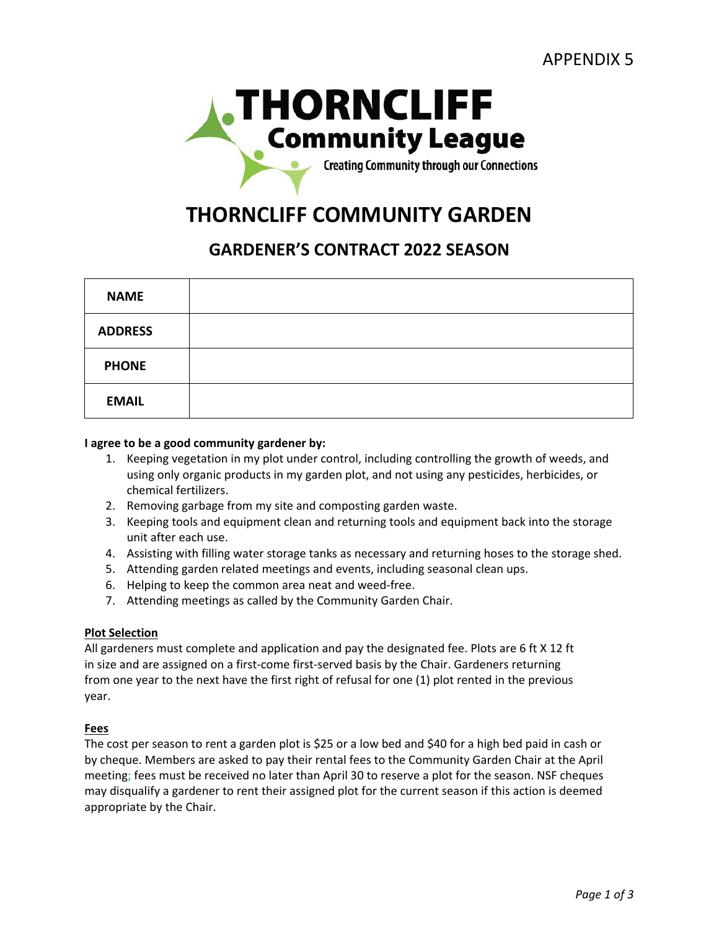

# **THORNCLIFF COMMUNITY GARDEN**

# **GARDENER'S CONTRACT 2022 SEASON**

| <b>NAME</b>    |  |
|----------------|--|
| <b>ADDRESS</b> |  |
| <b>PHONE</b>   |  |
| <b>EMAIL</b>   |  |

### **I agree to be a good community gardener by:**

- 1. Keeping vegetation in my plot under control, including controlling the growth of weeds, and using only organic products in my garden plot, and not using any pesticides, herbicides, or chemical fertilizers.
- 2. Removing garbage from my site and composting garden waste.
- 3. Keeping tools and equipment clean and returning tools and equipment back into the storage unit after each use.
- 4. Assisting with filling water storage tanks as necessary and returning hoses to the storage shed.
- 5. Attending garden related meetings and events, including seasonal clean ups.
- 6. Helping to keep the common area neat and weed-free.
- 7. Attending meetings as called by the Community Garden Chair.

#### **Plot Selection**

All gardeners must complete and application and pay the designated fee. Plots are 6 ft X 12 ft in size and are assigned on a first-come first-served basis by the Chair. Gardeners returning from one year to the next have the first right of refusal for one (1) plot rented in the previous year.

#### **Fees**

The cost per season to rent a garden plot is \$25 or a low bed and \$40 for a high bed paid in cash or by cheque. Members are asked to pay their rental fees to the Community Garden Chair at the April meeting; fees must be received no later than April 30 to reserve a plot for the season. NSF cheques may disqualify a gardener to rent their assigned plot for the current season if this action is deemed appropriate by the Chair.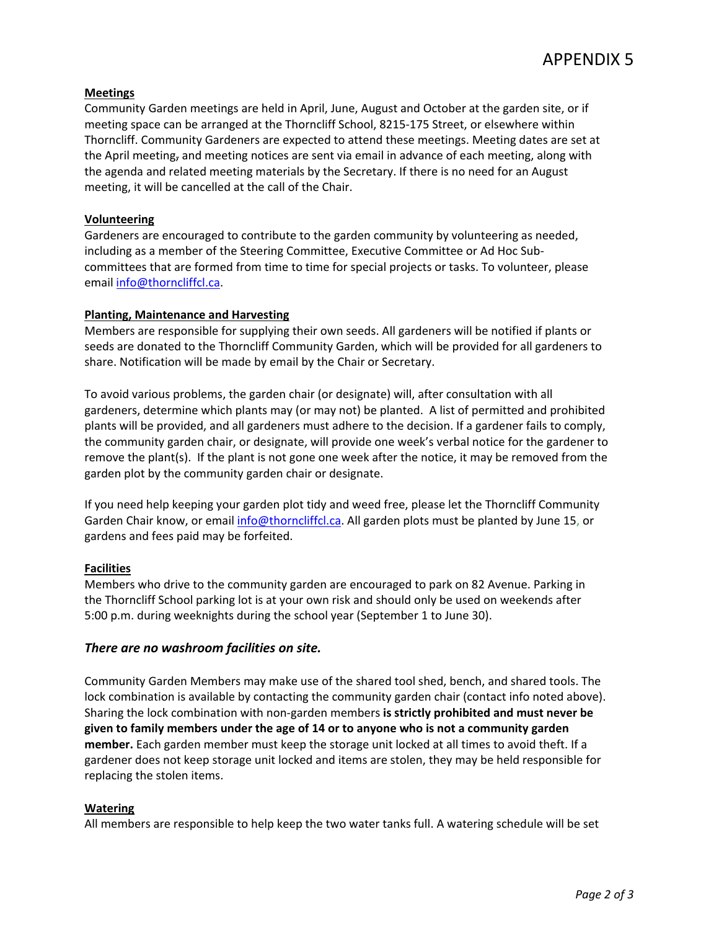# **Meetings**

Community Garden meetings are held in April, June, August and October at the garden site, or if meeting space can be arranged at the Thorncliff School, 8215-175 Street, or elsewhere within Thorncliff. Community Gardeners are expected to attend these meetings. Meeting dates are set at the April meeting, and meeting notices are sent via email in advance of each meeting, along with the agenda and related meeting materials by the Secretary. If there is no need for an August meeting, it will be cancelled at the call of the Chair.

### **Volunteering**

Gardeners are encouraged to contribute to the garden community by volunteering as needed, including as a member of the Steering Committee, Executive Committee or Ad Hoc Subcommittees that are formed from time to time for special projects or tasks. To volunteer, please email [info@thorncliffcl.ca.](mailto:info@thorncliffcl.ca)

### **Planting, Maintenance and Harvesting**

Members are responsible for supplying their own seeds. All gardeners will be notified if plants or seeds are donated to the Thorncliff Community Garden, which will be provided for all gardeners to share. Notification will be made by email by the Chair or Secretary.

To avoid various problems, the garden chair (or designate) will, after consultation with all gardeners, determine which plants may (or may not) be planted. A list of permitted and prohibited plants will be provided, and all gardeners must adhere to the decision. If a gardener fails to comply, the community garden chair, or designate, will provide one week's verbal notice for the gardener to remove the plant(s). If the plant is not gone one week after the notice, it may be removed from the garden plot by the community garden chair or designate.

If you need help keeping your garden plot tidy and weed free, please let the Thorncliff Community Garden Chair know, or email [info@thorncliffcl.ca.](mailto:info@thorncliffcl.ca) All garden plots must be planted by June 15, or gardens and fees paid may be forfeited.

# **Facilities**

Members who drive to the community garden are encouraged to park on 82 Avenue. Parking in the Thorncliff School parking lot is at your own risk and should only be used on weekends after 5:00 p.m. during weeknights during the school year (September 1 to June 30).

# *There are no washroom facilities on site.*

Community Garden Members may make use of the shared tool shed, bench, and shared tools. The lock combination is available by contacting the community garden chair (contact info noted above). Sharing the lock combination with non-garden members **is strictly prohibited and must never be given to family members under the age of 14 or to anyone who is not a community garden member.** Each garden member must keep the storage unit locked at all times to avoid theft. If a gardener does not keep storage unit locked and items are stolen, they may be held responsible for replacing the stolen items.

#### **Watering**

All members are responsible to help keep the two water tanks full. A watering schedule will be set